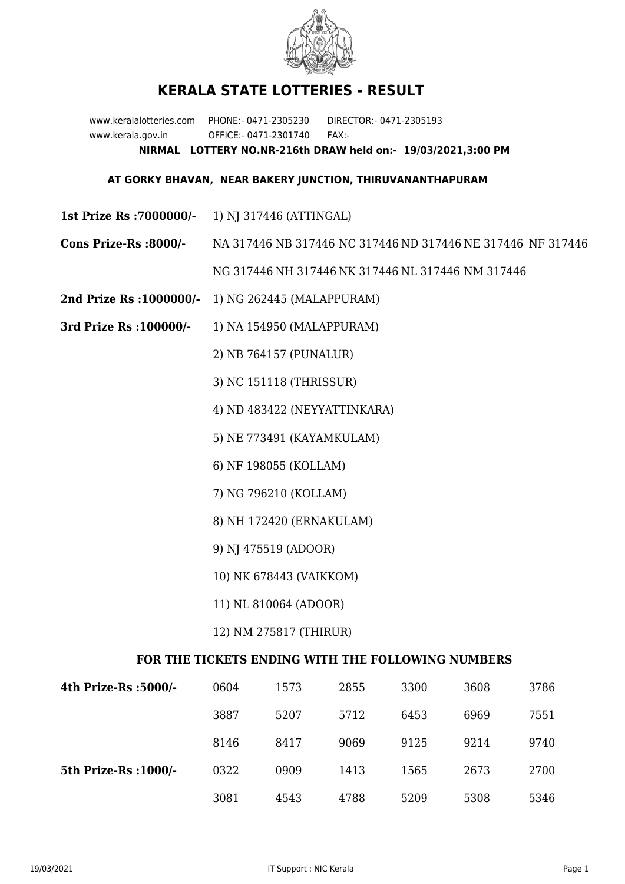

## **KERALA STATE LOTTERIES - RESULT**

www.keralalotteries.com PHONE:- 0471-2305230 DIRECTOR:- 0471-2305193 www.kerala.gov.in OFFICE:- 0471-2301740 FAX:- **NIRMAL LOTTERY NO.NR-216th DRAW held on:- 19/03/2021,3:00 PM**

## **AT GORKY BHAVAN, NEAR BAKERY JUNCTION, THIRUVANANTHAPURAM**

- **1st Prize Rs :7000000/-** 1) NJ 317446 (ATTINGAL)
- **Cons Prize-Rs :8000/-** NA 317446 NB 317446 NC 317446 ND 317446 NE 317446 NF 317446 NG 317446 NH 317446 NK 317446 NL 317446 NM 317446
- **2nd Prize Rs :1000000/-** 1) NG 262445 (MALAPPURAM)
- **3rd Prize Rs :100000/-** 1) NA 154950 (MALAPPURAM)

2) NB 764157 (PUNALUR)

3) NC 151118 (THRISSUR)

4) ND 483422 (NEYYATTINKARA)

- 5) NE 773491 (KAYAMKULAM)
- 6) NF 198055 (KOLLAM)
- 7) NG 796210 (KOLLAM)
- 8) NH 172420 (ERNAKULAM)
- 9) NJ 475519 (ADOOR)
- 10) NK 678443 (VAIKKOM)
- 11) NL 810064 (ADOOR)
- 12) NM 275817 (THIRUR)

## **FOR THE TICKETS ENDING WITH THE FOLLOWING NUMBERS**

| 4th Prize-Rs :5000/-  | 0604 | 1573 | 2855 | 3300 | 3608 | 3786 |
|-----------------------|------|------|------|------|------|------|
|                       | 3887 | 5207 | 5712 | 6453 | 6969 | 7551 |
|                       | 8146 | 8417 | 9069 | 9125 | 9214 | 9740 |
| 5th Prize-Rs : 1000/- | 0322 | 0909 | 1413 | 1565 | 2673 | 2700 |
|                       | 3081 | 4543 | 4788 | 5209 | 5308 | 5346 |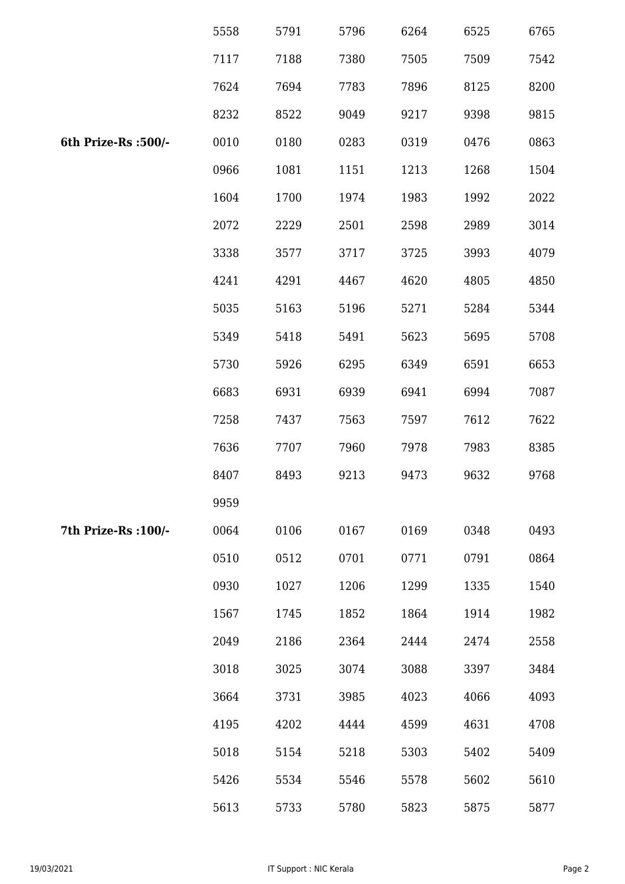|                      | 5558 | 5791 | 5796 | 6264 | 6525 | 6765 |
|----------------------|------|------|------|------|------|------|
|                      | 7117 | 7188 | 7380 | 7505 | 7509 | 7542 |
|                      | 7624 | 7694 | 7783 | 7896 | 8125 | 8200 |
|                      | 8232 | 8522 | 9049 | 9217 | 9398 | 9815 |
| 6th Prize-Rs :500/-  | 0010 | 0180 | 0283 | 0319 | 0476 | 0863 |
|                      | 0966 | 1081 | 1151 | 1213 | 1268 | 1504 |
|                      | 1604 | 1700 | 1974 | 1983 | 1992 | 2022 |
|                      | 2072 | 2229 | 2501 | 2598 | 2989 | 3014 |
|                      | 3338 | 3577 | 3717 | 3725 | 3993 | 4079 |
|                      | 4241 | 4291 | 4467 | 4620 | 4805 | 4850 |
|                      | 5035 | 5163 | 5196 | 5271 | 5284 | 5344 |
|                      | 5349 | 5418 | 5491 | 5623 | 5695 | 5708 |
|                      | 5730 | 5926 | 6295 | 6349 | 6591 | 6653 |
|                      | 6683 | 6931 | 6939 | 6941 | 6994 | 7087 |
|                      | 7258 | 7437 | 7563 | 7597 | 7612 | 7622 |
|                      | 7636 | 7707 | 7960 | 7978 | 7983 | 8385 |
|                      | 8407 | 8493 | 9213 | 9473 | 9632 | 9768 |
|                      | 9959 |      |      |      |      |      |
| 7th Prize-Rs : 100/- | 0064 | 0106 | 0167 | 0169 | 0348 | 0493 |
|                      | 0510 | 0512 | 0701 | 0771 | 0791 | 0864 |
|                      | 0930 | 1027 | 1206 | 1299 | 1335 | 1540 |
|                      | 1567 | 1745 | 1852 | 1864 | 1914 | 1982 |
|                      | 2049 | 2186 | 2364 | 2444 | 2474 | 2558 |
|                      | 3018 | 3025 | 3074 | 3088 | 3397 | 3484 |
|                      | 3664 | 3731 | 3985 | 4023 | 4066 | 4093 |
|                      | 4195 | 4202 | 4444 | 4599 | 4631 | 4708 |
|                      | 5018 | 5154 | 5218 | 5303 | 5402 | 5409 |
|                      | 5426 | 5534 | 5546 | 5578 | 5602 | 5610 |
|                      | 5613 | 5733 | 5780 | 5823 | 5875 | 5877 |